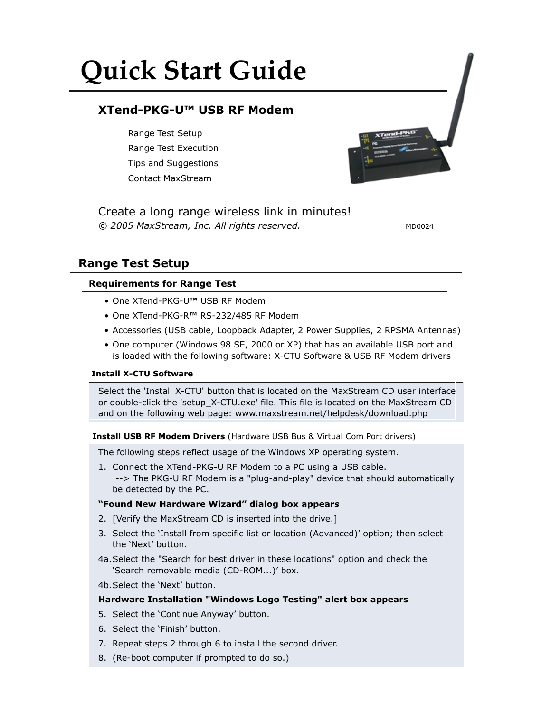# **Quick Start Guide**

## **XTend-PKG-U™ USB RF Modem**

Range Test Setup Range Test Execution Tips and Suggestions Contact MaxStream



*© 2005 MaxStream, Inc. All rights reserved.* Create a long range wireless link in minutes!

MD0024

## **Range Test Setup**

## **Requirements for Range Test**

- One XTend-PKG-U**™** USB RF Modem
- One XTend-PKG-R**™** RS-232/485 RF Modem
- Accessories (USB cable, Loopback Adapter, 2 Power Supplies, 2 RPSMA Antennas)
- One computer (Windows 98 SE, 2000 or XP) that has an available USB port and is loaded with the following software: X-CTU Software & USB RF Modem drivers

## **Install X-CTU Software**

Select the 'Install X-CTU' button that is located on the MaxStream CD user interface or double-click the 'setup\_X-CTU.exe' file. This file is located on the MaxStream CD and on the following web page: www.maxstream.net/helpdesk/download.php

## **Install USB RF Modem Drivers** (Hardware USB Bus & Virtual Com Port drivers)

The following steps reflect usage of the Windows XP operating system.

1. Connect the XTend-PKG-U RF Modem to a PC using a USB cable. --> The PKG-U RF Modem is a "plug-and-play" device that should automatically be detected by the PC.

## **"Found New Hardware Wizard" dialog box appears**

- 2. [Verify the MaxStream CD is inserted into the drive.]
- 3. Select the 'Install from specific list or location (Advanced)' option; then select the 'Next' button.
- 4a. Select the "Search for best driver in these locations" option and check the 'Search removable media (CD-ROM...)' box.
- 4b. Select the 'Next' button.

## **Hardware Installation "Windows Logo Testing" alert box appears**

- 5. Select the 'Continue Anyway' button.
- 6. Select the 'Finish' button.
- 7. Repeat steps 2 through 6 to install the second driver.
- 8. (Re-boot computer if prompted to do so.)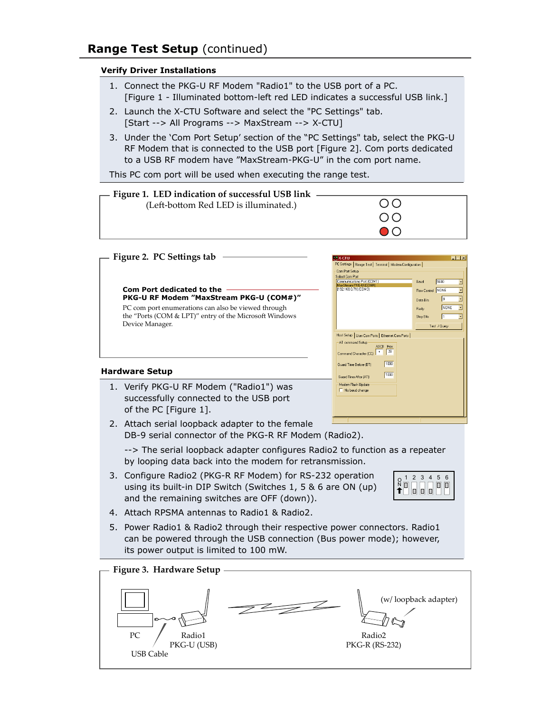## **Range Test Setup** (continued)

### **Verify Driver Installations**

- 1. Connect the PKG-U RF Modem "Radio1" to the USB port of a PC. [Figure 1 - Illuminated bottom-left red LED indicates a successful USB link.]
- 2. Launch the X-CTU Software and select the "PC Settings" tab.
- [Start --> All Programs --> MaxStream --> X-CTU]
- 3. Under the 'Com Port Setup' section of the "PC Settings" tab, select the PKG-U RF Modem that is connected to the USB port [Figure 2]. Com ports dedicated to a USB RF modem have "MaxStream-PKG-U" in the com port name.

This PC com port will be used when executing the range test.



#### **Hardware Setup**

- 1. Verify PKG-U RF Modem ("Radio1") was successfully connected to the USB port of the PC [Figure 1].
- 2. Attach serial loopback adapter to the female DB-9 serial connector of the PKG-R RF Modem (Radio2).

 --> The serial loopback adapter configures Radio2 to function as a repeater by looping data back into the modem for retransmission.

AT command Setup AT command Setup<br>Command Character (CC) + 28

Guard Time Refore (RT)

Guard Time After (AT) Modem Flash Update Mo baud change

 $\sqrt{1000}$ 

 $\boxed{1000}$ 

- 3. Configure Radio2 (PKG-R RF Modem) for RS-232 operation using its built-in DIP Switch (Switches 1, 5 & 6 are ON (up) and the remaining switches are OFF (down)).
- 1 2 3 4 5 6O N

- 4. Attach RPSMA antennas to Radio1 & Radio2.
- 5. Power Radio1 & Radio2 through their respective power connectors. Radio1 can be powered through the USB connection (Bus power mode); however, its power output is limited to 100 mW.

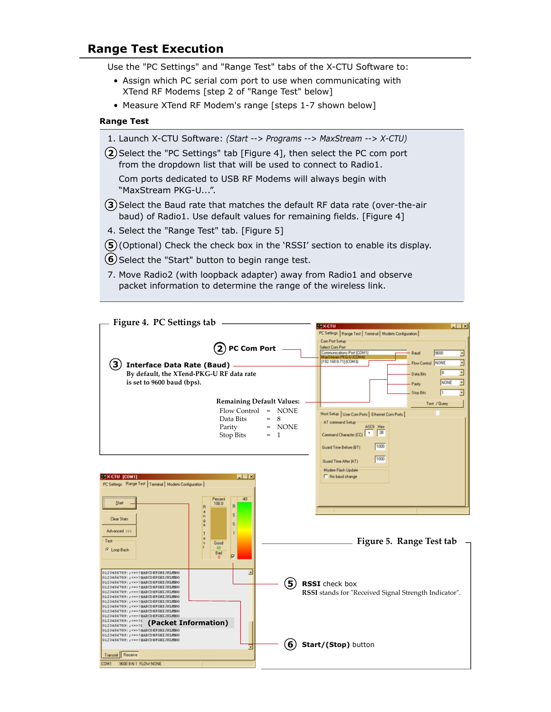## **Range Test Execution**

Use the "PC Settings" and "Range Test" tabs of the X-CTU Software to:

- Assign which PC serial com port to use when communicating with XTend RF Modems [step 2 of "Range Test" below]
- Measure XTend RF Modem's range [steps 1-7 shown below]

#### **Range Test**

- 1. Launch X-CTU Software: *(Start --> Programs --> MaxStream --> X-CTU)*
- **2**) Select the "PC Settings" tab [Figure 4], then select the PC com port from the dropdown list that will be used to connect to Radio1.

 Com ports dedicated to USB RF Modems will always begin with "MaxStream PKG-U...".

- **3**) Select the Baud rate that matches the default RF data rate (over-the-air baud) of Radio1. Use default values for remaining fields. [Figure 4]
- 4. Select the "Range Test" tab. [Figure 5]
- **5**) (Optional) Check the check box in the 'RSSI' section to enable its display.
- **6**) Select the "Start" button to begin range test.
- 7. Move Radio2 (with loopback adapter) away from Radio1 and observe packet information to determine the range of the wireless link.